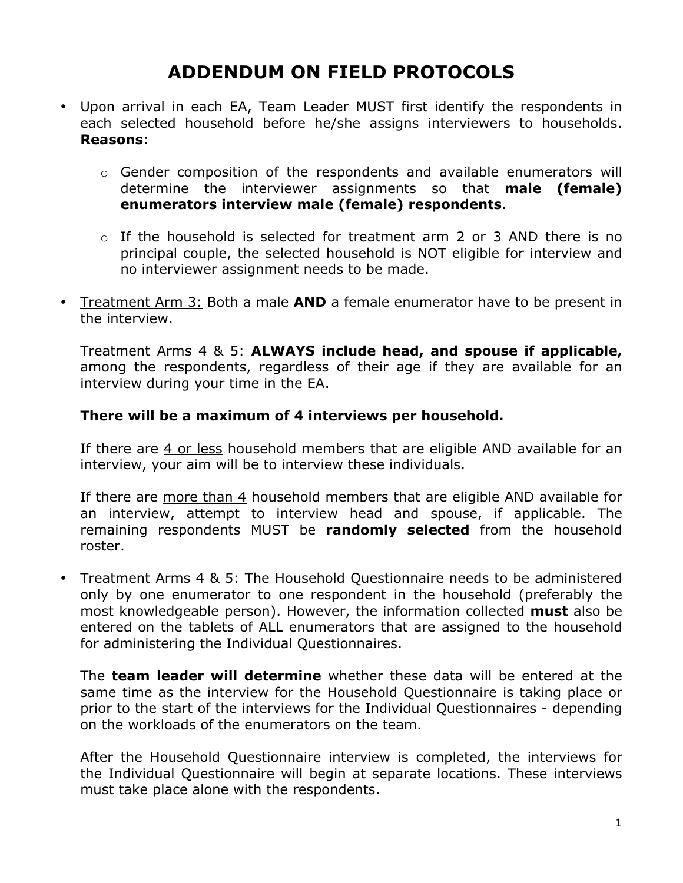# **ADDENDUM ON FIELD PROTOCOLS**

- Upon arrival in each EA, Team Leader MUST first identify the respondents in each selected household before he/she assigns interviewers to households. **Reasons**:
	- $\circ$  Gender composition of the respondents and available enumerators will determine the interviewer assignments so that **male (female) enumerators interview male (female) respondents**.
	- $\circ$  If the household is selected for treatment arm 2 or 3 AND there is no principal couple, the selected household is NOT eligible for interview and no interviewer assignment needs to be made.
- Treatment Arm 3: Both a male **AND** a female enumerator have to be present in the interview.

Treatment Arms 4 & 5: **ALWAYS include head, and spouse if applicable,** among the respondents, regardless of their age if they are available for an interview during your time in the EA.

#### **There will be a maximum of 4 interviews per household.**

If there are 4 or less household members that are eligible AND available for an interview, your aim will be to interview these individuals.

If there are more than 4 household members that are eligible AND available for an interview, attempt to interview head and spouse, if applicable. The remaining respondents MUST be **randomly selected** from the household roster.

• Treatment Arms 4 & 5: The Household Questionnaire needs to be administered only by one enumerator to one respondent in the household (preferably the most knowledgeable person). However, the information collected **must** also be entered on the tablets of ALL enumerators that are assigned to the household for administering the Individual Questionnaires.

The **team leader will determine** whether these data will be entered at the same time as the interview for the Household Questionnaire is taking place or prior to the start of the interviews for the Individual Questionnaires - depending on the workloads of the enumerators on the team.

After the Household Questionnaire interview is completed, the interviews for the Individual Questionnaire will begin at separate locations. These interviews must take place alone with the respondents.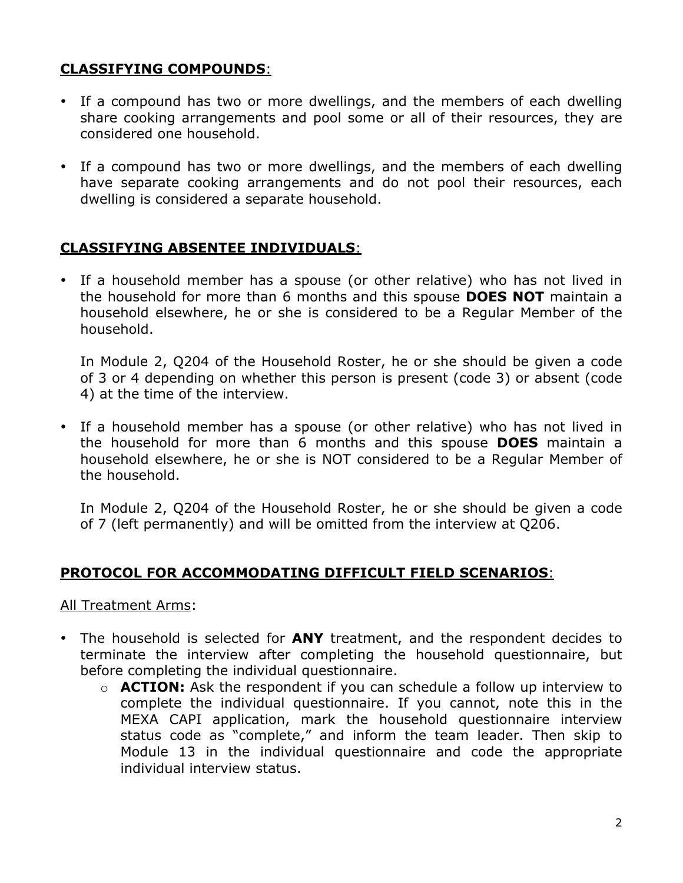# **CLASSIFYING COMPOUNDS**:

- If a compound has two or more dwellings, and the members of each dwelling share cooking arrangements and pool some or all of their resources, they are considered one household.
- If a compound has two or more dwellings, and the members of each dwelling have separate cooking arrangements and do not pool their resources, each dwelling is considered a separate household.

## **CLASSIFYING ABSENTEE INDIVIDUALS**:

• If a household member has a spouse (or other relative) who has not lived in the household for more than 6 months and this spouse **DOES NOT** maintain a household elsewhere, he or she is considered to be a Regular Member of the household.

In Module 2, Q204 of the Household Roster, he or she should be given a code of 3 or 4 depending on whether this person is present (code 3) or absent (code 4) at the time of the interview.

• If a household member has a spouse (or other relative) who has not lived in the household for more than 6 months and this spouse **DOES** maintain a household elsewhere, he or she is NOT considered to be a Regular Member of the household.

In Module 2, Q204 of the Household Roster, he or she should be given a code of 7 (left permanently) and will be omitted from the interview at Q206.

## **PROTOCOL FOR ACCOMMODATING DIFFICULT FIELD SCENARIOS**:

All Treatment Arms:

- The household is selected for **ANY** treatment, and the respondent decides to terminate the interview after completing the household questionnaire, but before completing the individual questionnaire.
	- o **ACTION:** Ask the respondent if you can schedule a follow up interview to complete the individual questionnaire. If you cannot, note this in the MEXA CAPI application, mark the household questionnaire interview status code as "complete," and inform the team leader. Then skip to Module 13 in the individual questionnaire and code the appropriate individual interview status.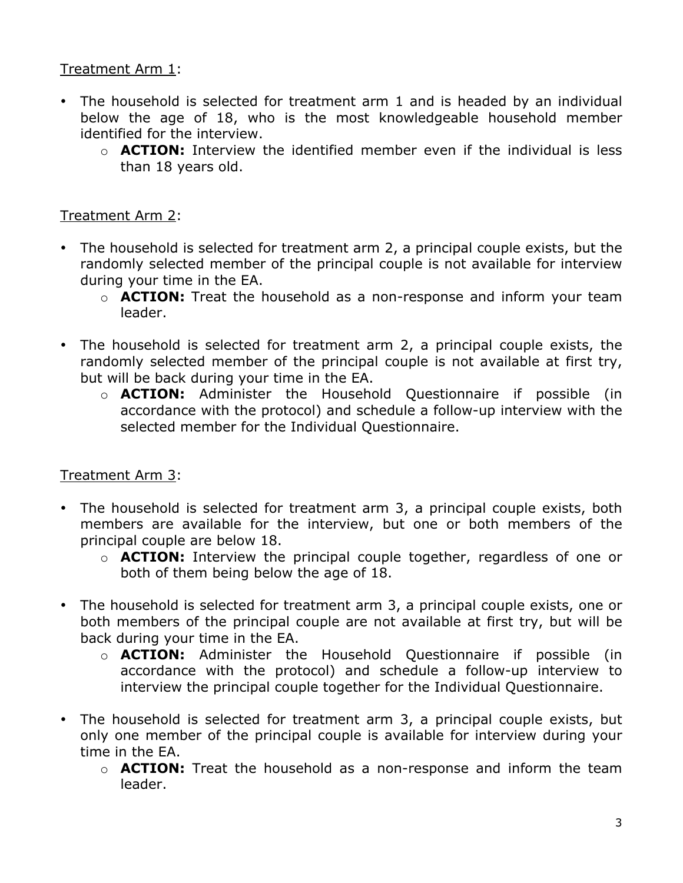## Treatment Arm 1:

- The household is selected for treatment arm 1 and is headed by an individual below the age of 18, who is the most knowledgeable household member identified for the interview.
	- $\circ$  **ACTION:** Interview the identified member even if the individual is less than 18 years old.

## Treatment Arm 2:

- The household is selected for treatment arm 2, a principal couple exists, but the randomly selected member of the principal couple is not available for interview during your time in the EA.
	- o **ACTION:** Treat the household as a non-response and inform your team leader.
- The household is selected for treatment arm 2, a principal couple exists, the randomly selected member of the principal couple is not available at first try, but will be back during your time in the EA.
	- o **ACTION:** Administer the Household Questionnaire if possible (in accordance with the protocol) and schedule a follow-up interview with the selected member for the Individual Questionnaire.

## Treatment Arm 3:

- The household is selected for treatment arm 3, a principal couple exists, both members are available for the interview, but one or both members of the principal couple are below 18.
	- o **ACTION:** Interview the principal couple together, regardless of one or both of them being below the age of 18.
- The household is selected for treatment arm 3, a principal couple exists, one or both members of the principal couple are not available at first try, but will be back during your time in the EA.
	- o **ACTION:** Administer the Household Questionnaire if possible (in accordance with the protocol) and schedule a follow-up interview to interview the principal couple together for the Individual Questionnaire.
- The household is selected for treatment arm 3, a principal couple exists, but only one member of the principal couple is available for interview during your time in the EA.
	- o **ACTION:** Treat the household as a non-response and inform the team leader.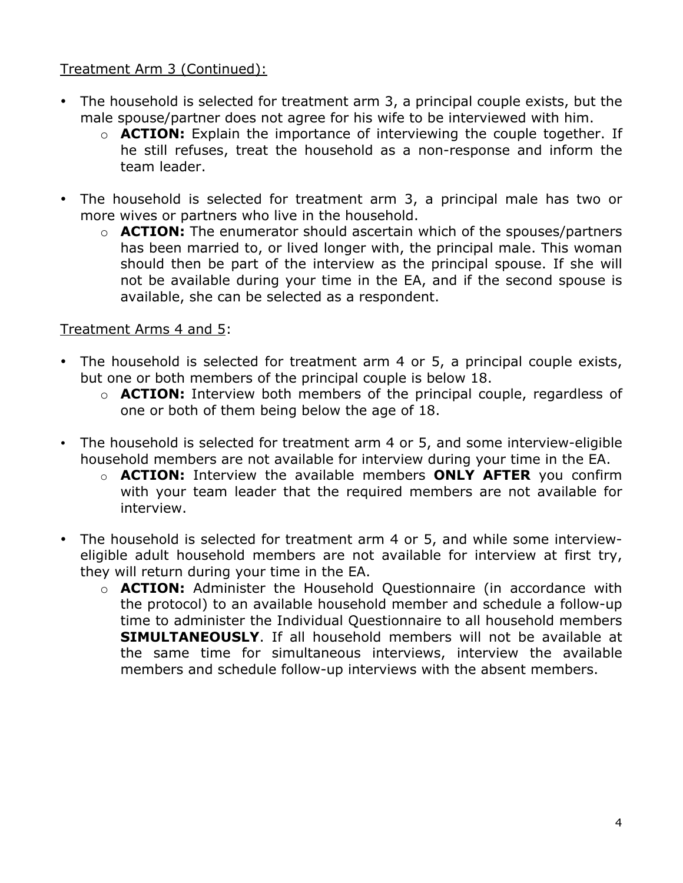## Treatment Arm 3 (Continued):

- The household is selected for treatment arm 3, a principal couple exists, but the male spouse/partner does not agree for his wife to be interviewed with him.
	- o **ACTION:** Explain the importance of interviewing the couple together. If he still refuses, treat the household as a non-response and inform the team leader.
- The household is selected for treatment arm 3, a principal male has two or more wives or partners who live in the household.
	- o **ACTION:** The enumerator should ascertain which of the spouses/partners has been married to, or lived longer with, the principal male. This woman should then be part of the interview as the principal spouse. If she will not be available during your time in the EA, and if the second spouse is available, she can be selected as a respondent.

## Treatment Arms 4 and 5:

- The household is selected for treatment arm 4 or 5, a principal couple exists, but one or both members of the principal couple is below 18.
	- o **ACTION:** Interview both members of the principal couple, regardless of one or both of them being below the age of 18.
- The household is selected for treatment arm 4 or 5, and some interview-eligible household members are not available for interview during your time in the EA.
	- o **ACTION:** Interview the available members **ONLY AFTER** you confirm with your team leader that the required members are not available for interview.
- The household is selected for treatment arm 4 or 5, and while some intervieweligible adult household members are not available for interview at first try, they will return during your time in the EA.
	- o **ACTION:** Administer the Household Questionnaire (in accordance with the protocol) to an available household member and schedule a follow-up time to administer the Individual Questionnaire to all household members **SIMULTANEOUSLY**. If all household members will not be available at the same time for simultaneous interviews, interview the available members and schedule follow-up interviews with the absent members.